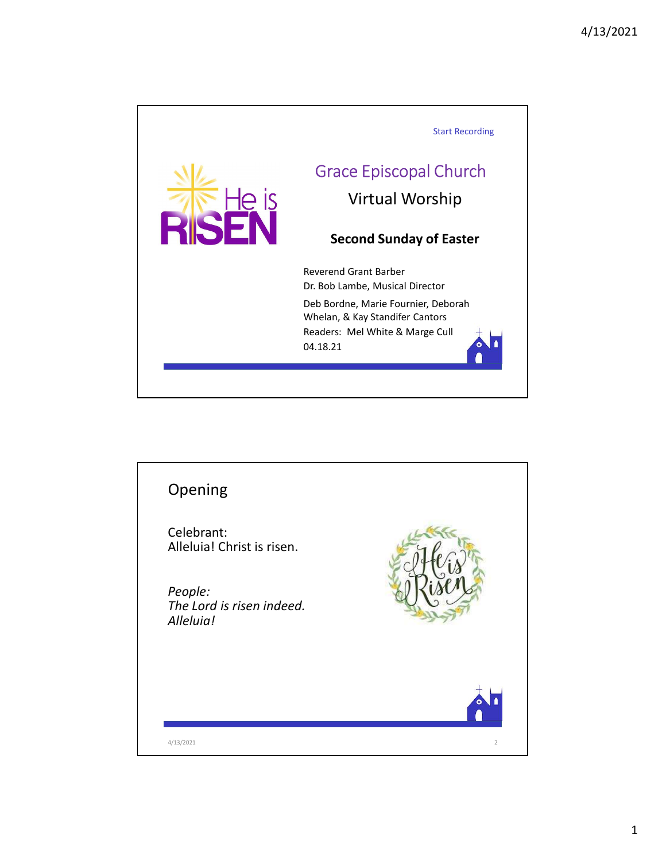

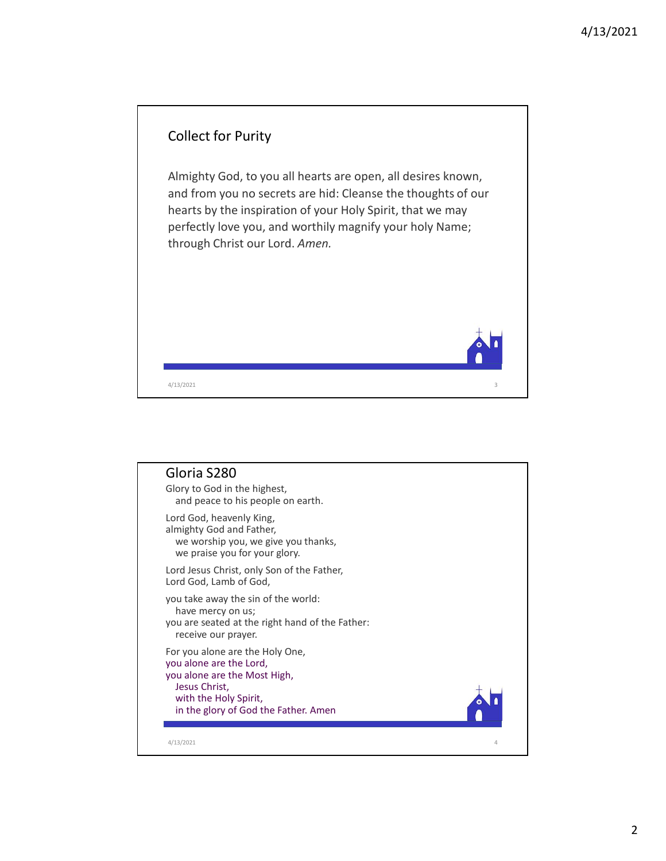

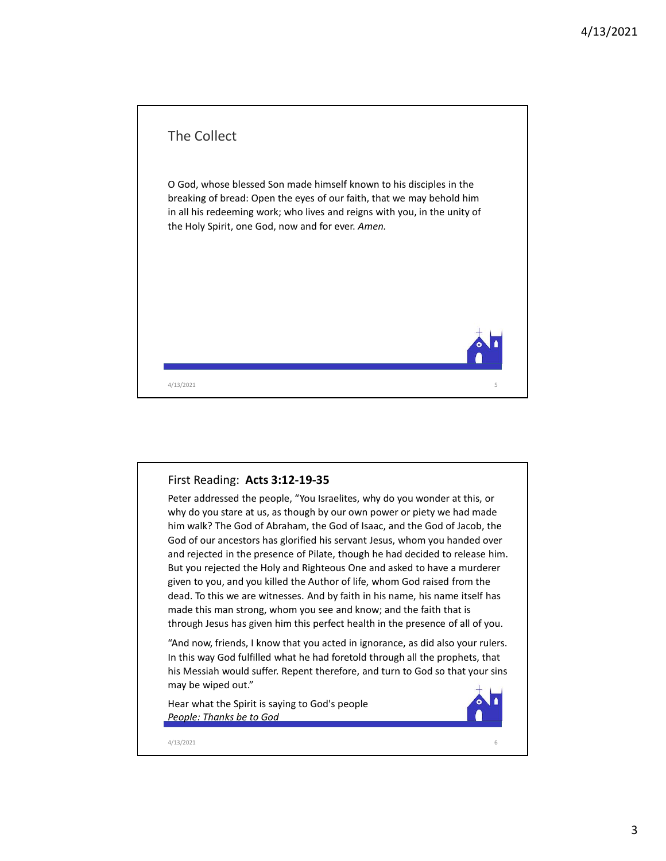

## First Reading: Acts 3:12-19-35

Peter addressed the people, "You Israelites, why do you wonder at this, or why do you stare at us, as though by our own power or piety we had made him walk? The God of Abraham, the God of Isaac, and the God of Jacob, the God of our ancestors has glorified his servant Jesus, whom you handed over and rejected in the presence of Pilate, though he had decided to release him. But you rejected the Holy and Righteous One and asked to have a murderer given to you, and you killed the Author of life, whom God raised from the dead. To this we are witnesses. And by faith in his name, his name itself has made this man strong, whom you see and know; and the faith that is through Jesus has given him this perfect health in the presence of all of you. First Reading: **Acts 3:12-19-35**<br>
Peter addressed the people, "You Israelites, why do you wonder at this, or<br>
Deter addressed the people, "You Israelites, why do you wonder at this, or<br>
blow our stree at us, as shough by o

"And now, friends, I know that you acted in ignorance, as did also your rulers. In this way God fulfilled what he had foretold through all the prophets, that his Messiah would suffer. Repent therefore, and turn to God so that your sins may be wiped out."

Hear what the Spirit is saying to God's people People: Thanks be to God

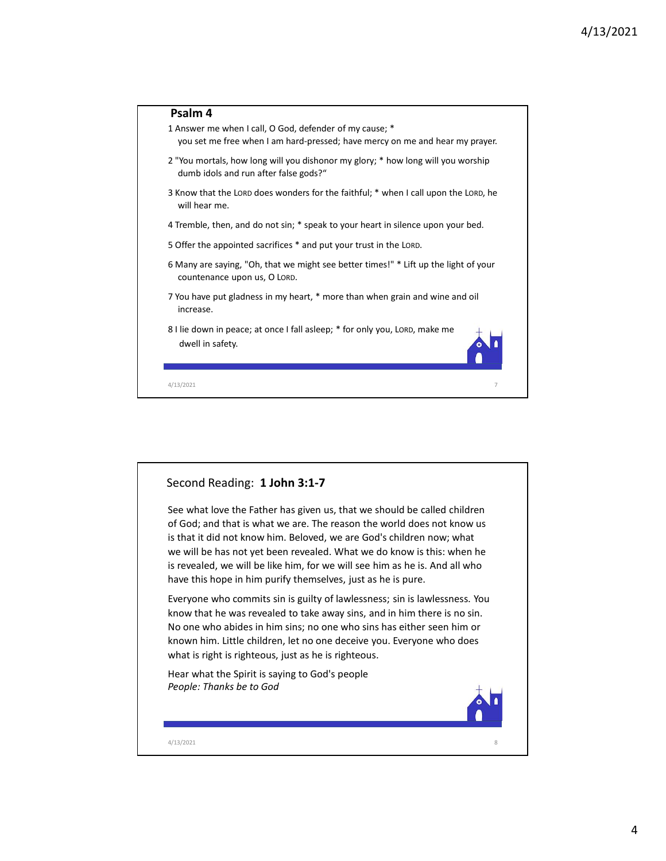

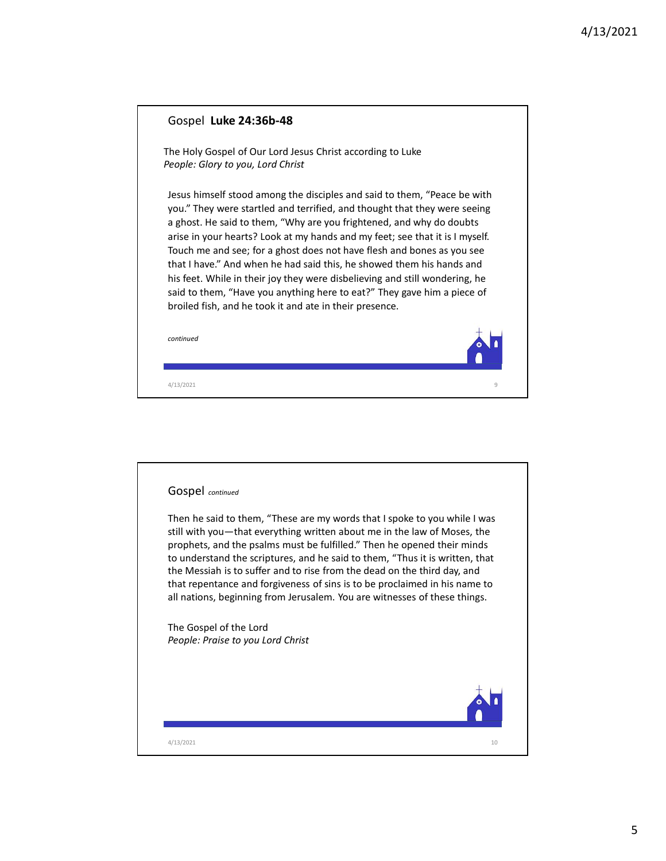| Gospel Luke 24:36b-48<br>The Holy Gospel of Our Lord Jesus Christ according to Luke<br>People: Glory to you, Lord Christ<br>Jesus himself stood among the disciples and said to them, "Peace be with<br>you." They were startled and terrified, and thought that they were seeing<br>a ghost. He said to them, "Why are you frightened, and why do doubts<br>arise in your hearts? Look at my hands and my feet; see that it is I myself.<br>Touch me and see; for a ghost does not have flesh and bones as you see<br>that I have." And when he had said this, he showed them his hands and<br>his feet. While in their joy they were disbelieving and still wondering, he<br>said to them, "Have you anything here to eat?" They gave him a piece of<br>broiled fish, and he took it and ate in their presence.<br>continued<br>9<br>4/13/2021 |
|--------------------------------------------------------------------------------------------------------------------------------------------------------------------------------------------------------------------------------------------------------------------------------------------------------------------------------------------------------------------------------------------------------------------------------------------------------------------------------------------------------------------------------------------------------------------------------------------------------------------------------------------------------------------------------------------------------------------------------------------------------------------------------------------------------------------------------------------------|
|                                                                                                                                                                                                                                                                                                                                                                                                                                                                                                                                                                                                                                                                                                                                                                                                                                                  |
|                                                                                                                                                                                                                                                                                                                                                                                                                                                                                                                                                                                                                                                                                                                                                                                                                                                  |
|                                                                                                                                                                                                                                                                                                                                                                                                                                                                                                                                                                                                                                                                                                                                                                                                                                                  |
|                                                                                                                                                                                                                                                                                                                                                                                                                                                                                                                                                                                                                                                                                                                                                                                                                                                  |
|                                                                                                                                                                                                                                                                                                                                                                                                                                                                                                                                                                                                                                                                                                                                                                                                                                                  |

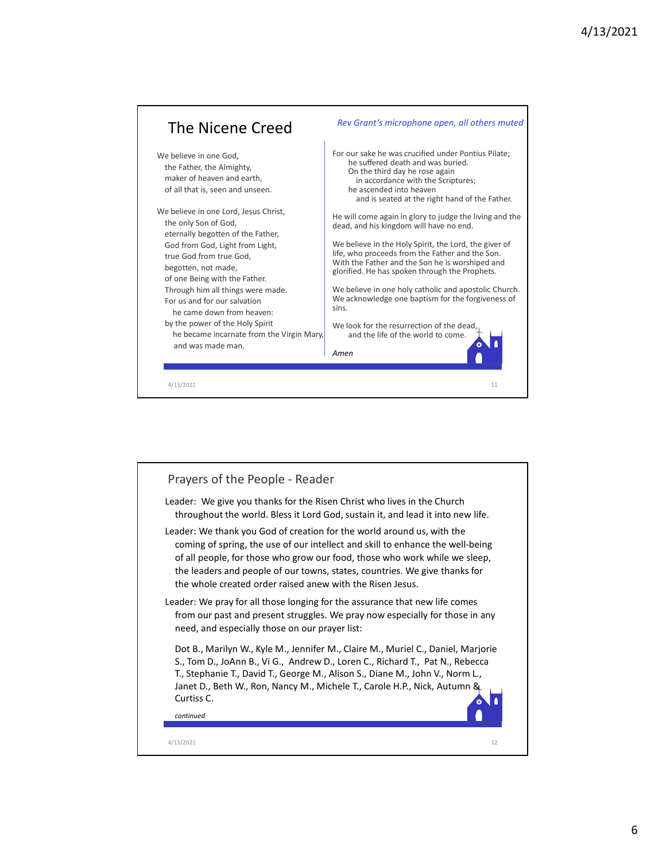

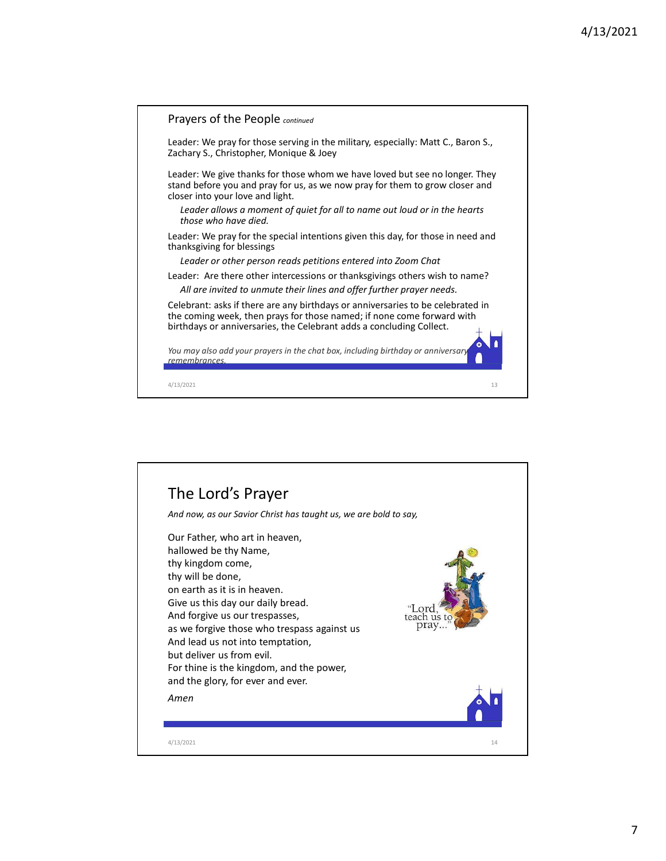

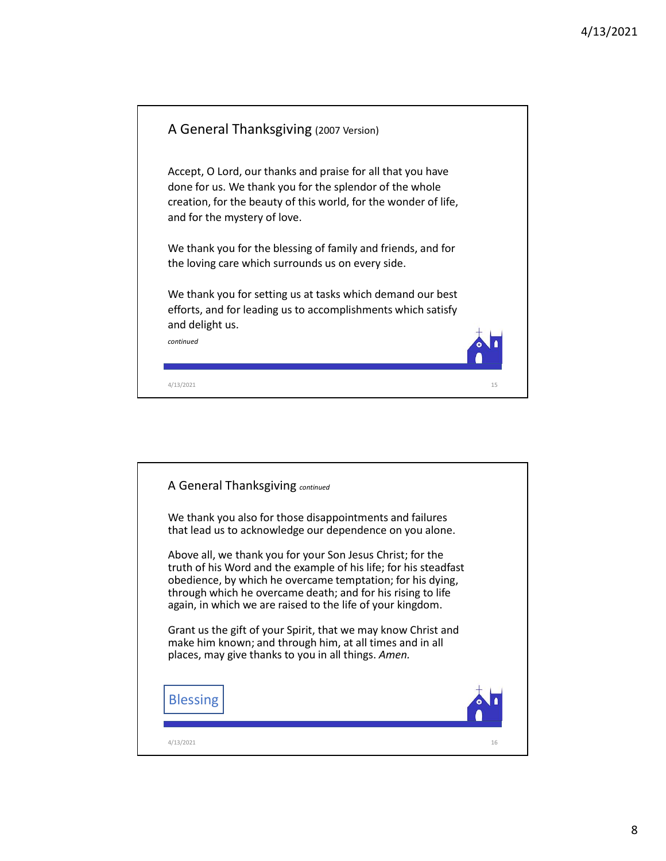

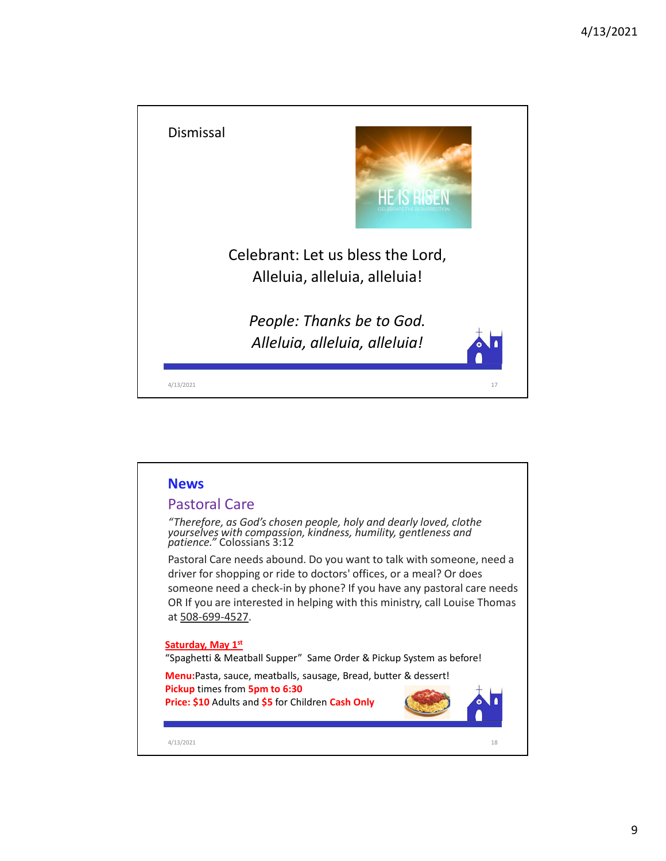